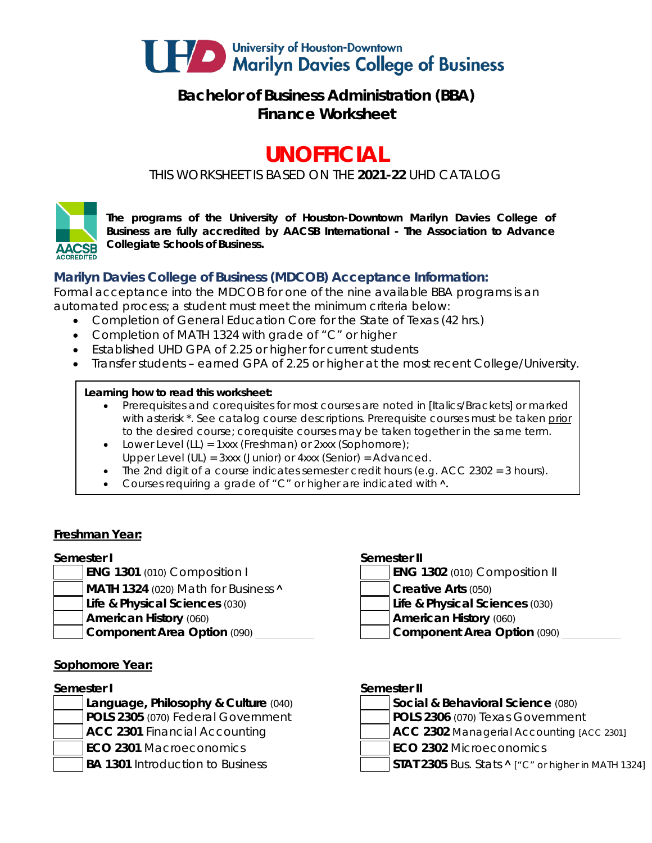

# **Bachelor of Business Administration (BBA) Finance Worksheet**

# **UNOFFICIAL**

*THIS WORKSHEET IS BASED ON THE 2021-22 UHD CATALOG*



*The programs of the University of Houston-Downtown Marilyn Davies College of Business are fully accredited by AACSB International - The Association to Advance Collegiate Schools of Business.*

### **Marilyn Davies College of Business (MDCOB) Acceptance Information:**

Formal acceptance into the MDCOB for one of the nine available BBA programs is an automated process; a student must meet the minimum criteria below:

- Completion of General Education Core for the State of Texas (42 hrs.)
- Completion of MATH 1324 with grade of "C" or higher
- Established UHD GPA of 2.25 or higher for current students
- Transfer students earned GPA of 2.25 or higher at the most recent College/University.

### **Learning how to read this worksheet:**

- Prerequisites and corequisites for most courses are noted in *[Italics/Brackets]* or marked with asterisk \*. See catalog course descriptions. Prerequisite courses must be taken prior to the desired course; corequisite courses may be taken together in the same term.
- Lower Level (LL) = 1xxx (Freshman) or 2xxx (Sophomore);
- Upper Level (UL) = 3xxx (Junior) or 4xxx (Senior) = Advanced.
- The 2nd digit of a course indicates semester credit hours (e.g. ACC 2302 = 3 hours).
- Courses requiring a grade of "C" or higher are indicated with  $\lambda$ .

### **Freshman Year:**

### **Semester I Semester II**

- **ENG 1301** (010) Composition I
- **MATH 1324** (020) Math for Business **A Creative Arts** (050)
- **Life & Physical Sciences** (030) **Life & Physical Sciences** (030)
- -

### **Sophomore Year:**

- 
- 

|  |  |  | <b>ENG 1302</b> (010) Composition II |  |
|--|--|--|--------------------------------------|--|
|  |  |  |                                      |  |

- 
- **American History** (060) **American History** (060)
- **Component Area Option** (090) **Later Component Area Option** (090)

### **Semester I Semester II**

- **Language, Philosophy & Culture** (040) **Social & Behavioral Science** (080) **POLS 2305** (070) Federal Government **POLS 2306** (070) Texas Government **ACC 2301** Financial Accounting **ACC 2302** Managerial Accounting *[ACC 2301]*
- **ECO 2301** Macroeconomics **ECO 2302** Microeconomics
- BA 1301 Introduction to Business **STAT 2305** Bus. Stats **^** ["C" or higher in MATH 1324]